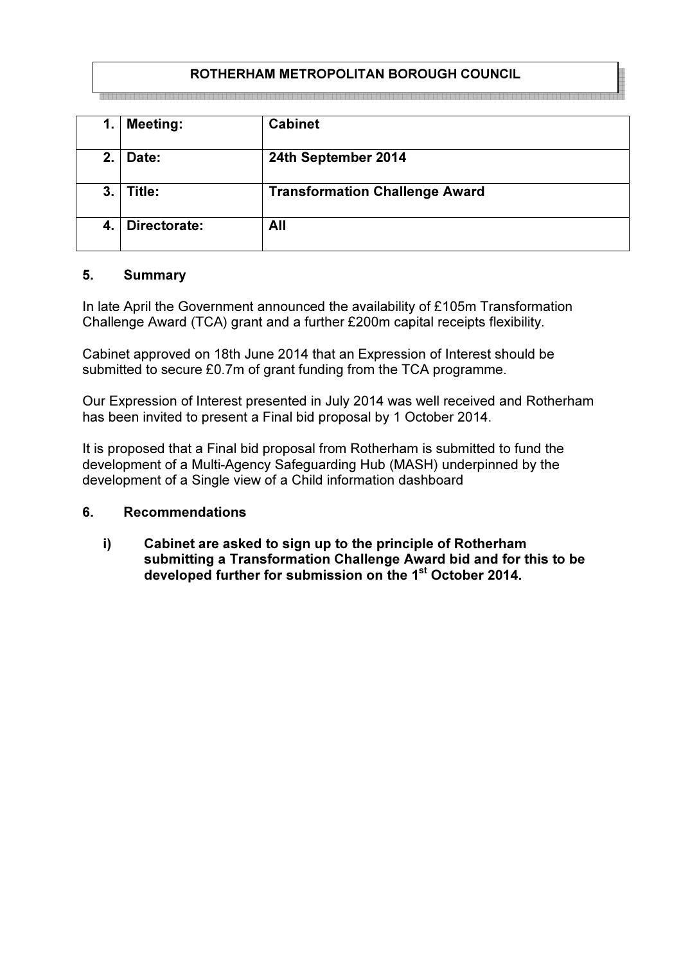# ROTHERHAM METROPOLITAN BOROUGH COUNCIL

| 1. | <b>Meeting:</b> | <b>Cabinet</b>                        |
|----|-----------------|---------------------------------------|
| 2. | Date:           | 24th September 2014                   |
| 3. | Title:          | <b>Transformation Challenge Award</b> |
| 4. | Directorate:    | All                                   |

#### 5. Summary

In late April the Government announced the availability of £105m Transformation Challenge Award (TCA) grant and a further £200m capital receipts flexibility.

Cabinet approved on 18th June 2014 that an Expression of Interest should be submitted to secure £0.7m of grant funding from the TCA programme.

Our Expression of Interest presented in July 2014 was well received and Rotherham has been invited to present a Final bid proposal by 1 October 2014.

It is proposed that a Final bid proposal from Rotherham is submitted to fund the development of a Multi-Agency Safeguarding Hub (MASH) underpinned by the development of a Single view of a Child information dashboard

### 6. Recommendations

i) Cabinet are asked to sign up to the principle of Rotherham submitting a Transformation Challenge Award bid and for this to be developed further for submission on the 1<sup>st</sup> October 2014.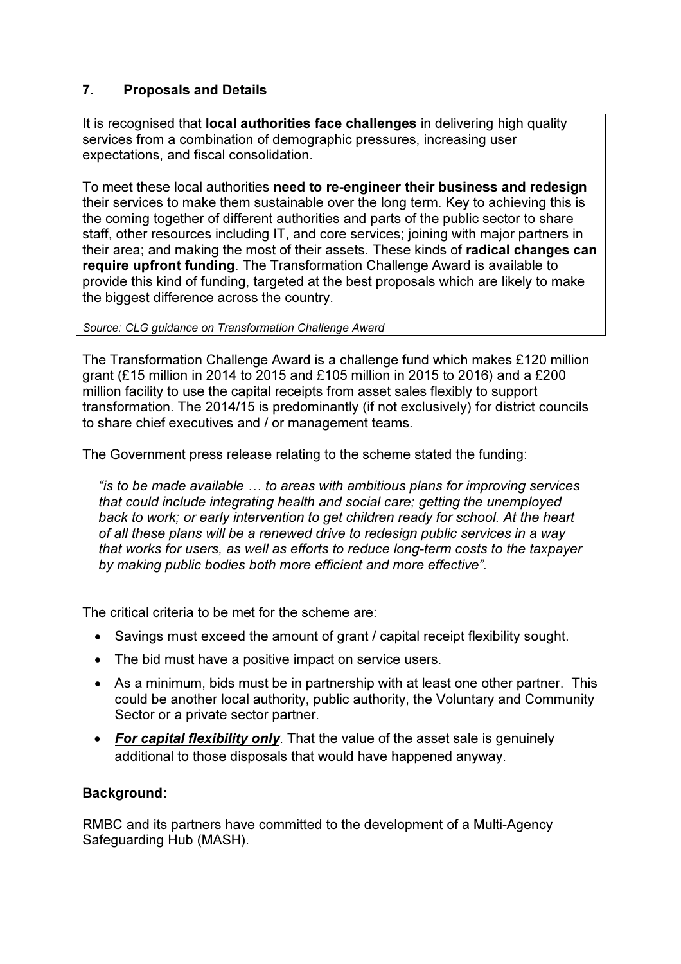# 7. Proposals and Details

It is recognised that **local authorities face challenges** in delivering high quality services from a combination of demographic pressures, increasing user expectations, and fiscal consolidation.

To meet these local authorities need to re-engineer their business and redesign their services to make them sustainable over the long term. Key to achieving this is the coming together of different authorities and parts of the public sector to share staff, other resources including IT, and core services; joining with major partners in their area; and making the most of their assets. These kinds of radical changes can require upfront funding. The Transformation Challenge Award is available to provide this kind of funding, targeted at the best proposals which are likely to make the biggest difference across the country.

Source: CLG guidance on Transformation Challenge Award

The Transformation Challenge Award is a challenge fund which makes £120 million grant (£15 million in 2014 to 2015 and £105 million in 2015 to 2016) and a £200 million facility to use the capital receipts from asset sales flexibly to support transformation. The 2014/15 is predominantly (if not exclusively) for district councils to share chief executives and / or management teams.

The Government press release relating to the scheme stated the funding:

"is to be made available … to areas with ambitious plans for improving services that could include integrating health and social care; getting the unemployed back to work; or early intervention to get children ready for school. At the heart of all these plans will be a renewed drive to redesign public services in a way that works for users, as well as efforts to reduce long-term costs to the taxpayer by making public bodies both more efficient and more effective".

The critical criteria to be met for the scheme are:

- Savings must exceed the amount of grant / capital receipt flexibility sought.
- The bid must have a positive impact on service users.
- As a minimum, bids must be in partnership with at least one other partner. This could be another local authority, public authority, the Voluntary and Community Sector or a private sector partner.
- For capital flexibility only. That the value of the asset sale is genuinely additional to those disposals that would have happened anyway.

# Background:

RMBC and its partners have committed to the development of a Multi-Agency Safeguarding Hub (MASH).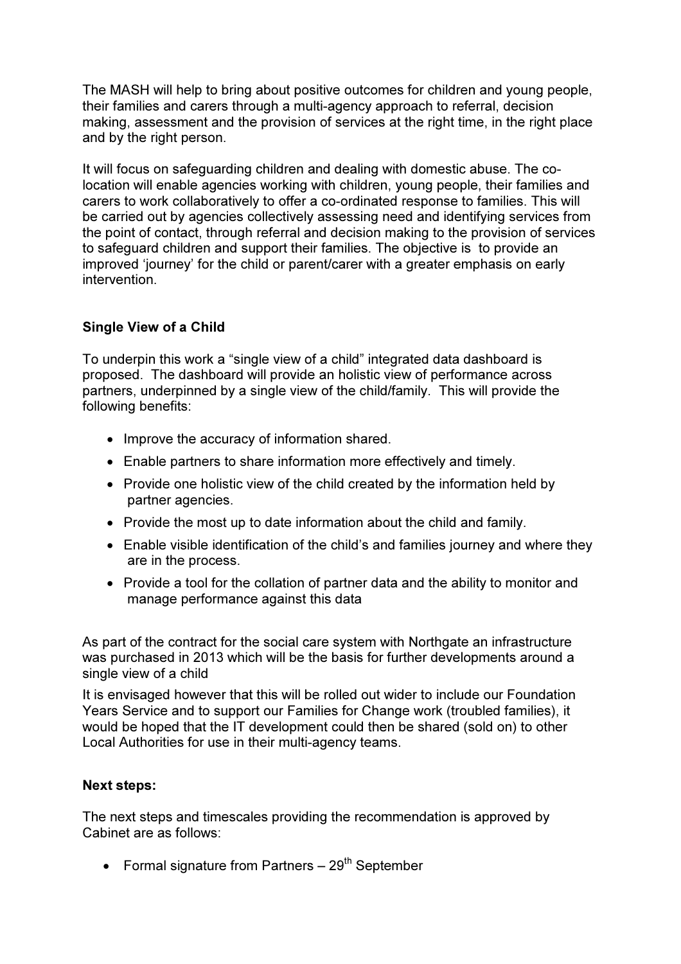The MASH will help to bring about positive outcomes for children and young people, their families and carers through a multi-agency approach to referral, decision making, assessment and the provision of services at the right time, in the right place and by the right person.

It will focus on safeguarding children and dealing with domestic abuse. The colocation will enable agencies working with children, young people, their families and carers to work collaboratively to offer a co-ordinated response to families. This will be carried out by agencies collectively assessing need and identifying services from the point of contact, through referral and decision making to the provision of services to safeguard children and support their families. The objective is to provide an improved 'journey' for the child or parent/carer with a greater emphasis on early intervention.

### Single View of a Child

To underpin this work a "single view of a child" integrated data dashboard is proposed. The dashboard will provide an holistic view of performance across partners, underpinned by a single view of the child/family. This will provide the following benefits:

- Improve the accuracy of information shared.
- Enable partners to share information more effectively and timely.
- Provide one holistic view of the child created by the information held by partner agencies.
- Provide the most up to date information about the child and family.
- Enable visible identification of the child's and families journey and where they are in the process.
- Provide a tool for the collation of partner data and the ability to monitor and manage performance against this data

As part of the contract for the social care system with Northgate an infrastructure was purchased in 2013 which will be the basis for further developments around a single view of a child

It is envisaged however that this will be rolled out wider to include our Foundation Years Service and to support our Families for Change work (troubled families), it would be hoped that the IT development could then be shared (sold on) to other Local Authorities for use in their multi-agency teams.

#### Next steps:

The next steps and timescales providing the recommendation is approved by Cabinet are as follows:

• Formal signature from Partners  $-29<sup>th</sup>$  September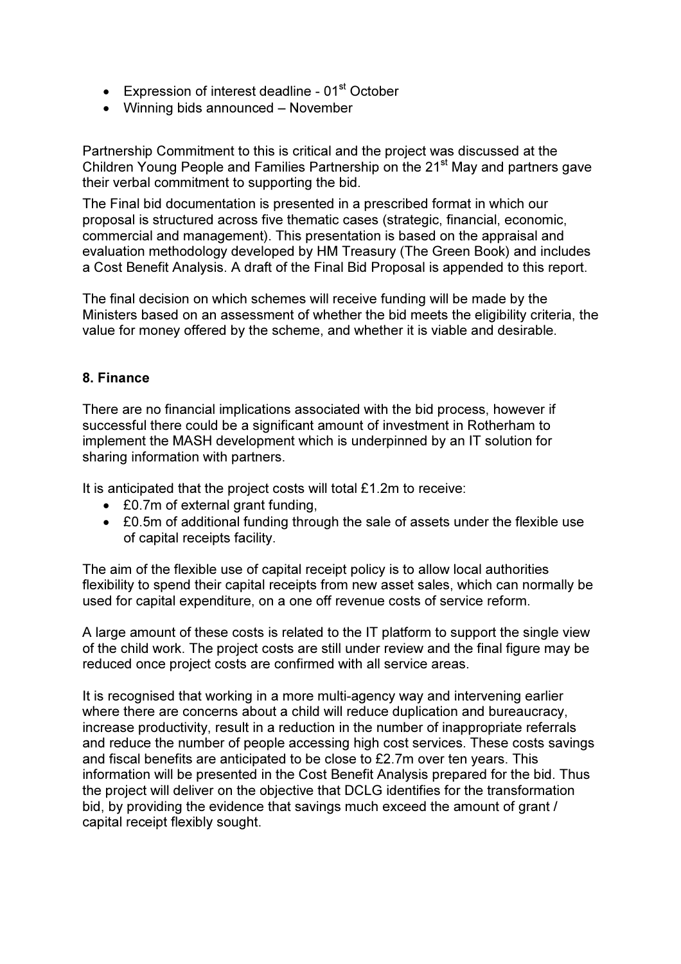- Expression of interest deadline  $01<sup>st</sup>$  October
- Winning bids announced November

Partnership Commitment to this is critical and the project was discussed at the Children Young People and Families Partnership on the 21<sup>st</sup> May and partners gave their verbal commitment to supporting the bid.

The Final bid documentation is presented in a prescribed format in which our proposal is structured across five thematic cases (strategic, financial, economic, commercial and management). This presentation is based on the appraisal and evaluation methodology developed by HM Treasury (The Green Book) and includes a Cost Benefit Analysis. A draft of the Final Bid Proposal is appended to this report.

The final decision on which schemes will receive funding will be made by the Ministers based on an assessment of whether the bid meets the eligibility criteria, the value for money offered by the scheme, and whether it is viable and desirable.

### 8. Finance

There are no financial implications associated with the bid process, however if successful there could be a significant amount of investment in Rotherham to implement the MASH development which is underpinned by an IT solution for sharing information with partners.

It is anticipated that the project costs will total £1.2m to receive:

- £0.7m of external grant funding,
- £0.5m of additional funding through the sale of assets under the flexible use of capital receipts facility.

The aim of the flexible use of capital receipt policy is to allow local authorities flexibility to spend their capital receipts from new asset sales, which can normally be used for capital expenditure, on a one off revenue costs of service reform.

A large amount of these costs is related to the IT platform to support the single view of the child work. The project costs are still under review and the final figure may be reduced once project costs are confirmed with all service areas.

It is recognised that working in a more multi-agency way and intervening earlier where there are concerns about a child will reduce duplication and bureaucracy, increase productivity, result in a reduction in the number of inappropriate referrals and reduce the number of people accessing high cost services. These costs savings and fiscal benefits are anticipated to be close to £2.7m over ten years. This information will be presented in the Cost Benefit Analysis prepared for the bid. Thus the project will deliver on the objective that DCLG identifies for the transformation bid, by providing the evidence that savings much exceed the amount of grant / capital receipt flexibly sought.